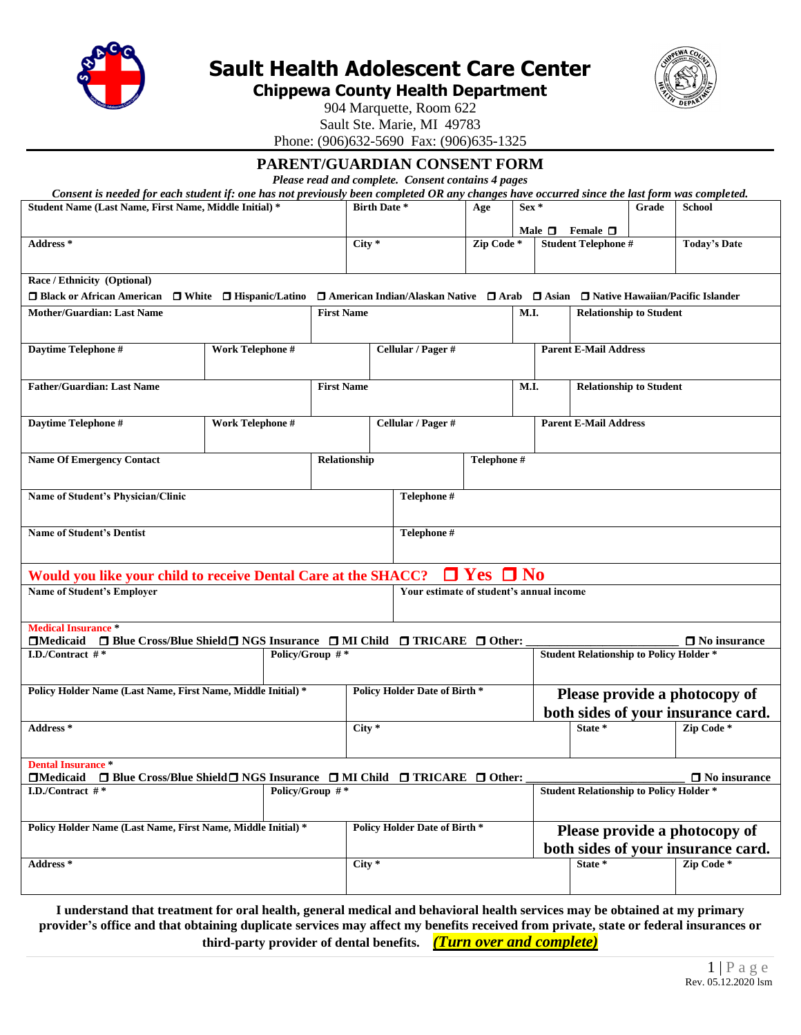

**Sault Health Adolescent Care Center**

**Chippewa County Health Department**



904 Marquette, Room 622

Sault Ste. Marie, MI 49783 Phone: (906)632-5690 Fax: (906)635-1325

# **PARENT/GUARDIAN CONSENT FORM**

*Please read and complete. Consent contains 4 pages*

*Consent is needed for each student if: one has not previously been completed OR any changes have occurred since the last form was completed.*

| Student Name (Last Name, First Name, Middle Initial)*                                                              |                  |                 | <b>Birth Date *</b> |          | Age                                                                                | $Sex *$              |                | Grade                                          | School                |                                    |
|--------------------------------------------------------------------------------------------------------------------|------------------|-----------------|---------------------|----------|------------------------------------------------------------------------------------|----------------------|----------------|------------------------------------------------|-----------------------|------------------------------------|
|                                                                                                                    |                  |                 |                     |          |                                                                                    |                      |                |                                                |                       |                                    |
| Address *                                                                                                          |                  |                 |                     | $City *$ |                                                                                    | Zip Code*            | Male $\square$ | Female $\Box$<br><b>Student Telephone #</b>    |                       | <b>Today's Date</b>                |
|                                                                                                                    |                  |                 |                     |          |                                                                                    |                      |                |                                                |                       |                                    |
|                                                                                                                    |                  |                 |                     |          |                                                                                    |                      |                |                                                |                       |                                    |
| Race / Ethnicity (Optional)                                                                                        |                  |                 |                     |          |                                                                                    |                      |                |                                                |                       |                                    |
| $\Box$ Black or African American $\Box$ White $\Box$ Hispanic/Latino                                               |                  |                 |                     |          | □ American Indian/Alaskan Native □ Arab □ Asian □ Native Hawaiian/Pacific Islander |                      |                |                                                |                       |                                    |
| <b>Mother/Guardian: Last Name</b>                                                                                  |                  |                 | <b>First Name</b>   |          |                                                                                    |                      | M.I.           | <b>Relationship to Student</b>                 |                       |                                    |
|                                                                                                                    |                  |                 |                     |          |                                                                                    |                      |                |                                                |                       |                                    |
| Daytime Telephone #                                                                                                | Work Telephone # |                 |                     |          | Cellular / Pager #                                                                 |                      |                | <b>Parent E-Mail Address</b>                   |                       |                                    |
|                                                                                                                    |                  |                 |                     |          |                                                                                    |                      |                |                                                |                       |                                    |
|                                                                                                                    |                  |                 |                     |          |                                                                                    |                      |                |                                                |                       |                                    |
| <b>Father/Guardian: Last Name</b>                                                                                  |                  |                 | <b>First Name</b>   |          |                                                                                    |                      | M.I.           | <b>Relationship to Student</b>                 |                       |                                    |
|                                                                                                                    |                  |                 |                     |          |                                                                                    |                      |                |                                                |                       |                                    |
| Daytime Telephone #                                                                                                | Work Telephone # |                 |                     |          | Cellular / Pager #                                                                 |                      |                | <b>Parent E-Mail Address</b>                   |                       |                                    |
|                                                                                                                    |                  |                 |                     |          |                                                                                    |                      |                |                                                |                       |                                    |
|                                                                                                                    |                  |                 |                     |          |                                                                                    |                      |                |                                                |                       |                                    |
| <b>Name Of Emergency Contact</b>                                                                                   |                  |                 | Relationship        |          |                                                                                    | Telephone #          |                |                                                |                       |                                    |
|                                                                                                                    |                  |                 |                     |          |                                                                                    |                      |                |                                                |                       |                                    |
| Name of Student's Physician/Clinic                                                                                 |                  |                 |                     |          | Telephone #                                                                        |                      |                |                                                |                       |                                    |
|                                                                                                                    |                  |                 |                     |          |                                                                                    |                      |                |                                                |                       |                                    |
|                                                                                                                    |                  |                 |                     |          |                                                                                    |                      |                |                                                |                       |                                    |
| <b>Name of Student's Dentist</b>                                                                                   |                  |                 |                     |          | Telephone #                                                                        |                      |                |                                                |                       |                                    |
|                                                                                                                    |                  |                 |                     |          |                                                                                    |                      |                |                                                |                       |                                    |
| Would you like your child to receive Dental Care at the SHACC?                                                     |                  |                 |                     |          |                                                                                    | $\Box$ Yes $\Box$ No |                |                                                |                       |                                    |
| <b>Name of Student's Employer</b>                                                                                  |                  |                 |                     |          | Your estimate of student's annual income                                           |                      |                |                                                |                       |                                    |
|                                                                                                                    |                  |                 |                     |          |                                                                                    |                      |                |                                                |                       |                                    |
| <b>Medical Insurance *</b>                                                                                         |                  |                 |                     |          |                                                                                    |                      |                |                                                |                       |                                    |
| $\Box$ Medicaid<br>$\Box$ Blue Cross/Blue Shield $\Box$ NGS Insurance $\Box$ MI Child $\Box$ TRICARE $\Box$ Other: |                  |                 |                     |          |                                                                                    |                      |                |                                                |                       | $\Box$ No insurance                |
| I.D./Contract $#$ *                                                                                                |                  | Policy/Group #* |                     |          |                                                                                    |                      |                | <b>Student Relationship to Policy Holder *</b> |                       |                                    |
|                                                                                                                    |                  |                 |                     |          |                                                                                    |                      |                |                                                |                       |                                    |
| Policy Holder Name (Last Name, First Name, Middle Initial)*                                                        |                  |                 |                     |          | <b>Policy Holder Date of Birth *</b>                                               |                      |                |                                                |                       |                                    |
|                                                                                                                    |                  |                 |                     |          |                                                                                    |                      |                |                                                |                       | Please provide a photocopy of      |
|                                                                                                                    |                  |                 |                     |          |                                                                                    |                      |                |                                                |                       | both sides of your insurance card. |
| Address*                                                                                                           |                  |                 |                     | $City *$ |                                                                                    |                      |                | State *                                        |                       | Zip Code*                          |
|                                                                                                                    |                  |                 |                     |          |                                                                                    |                      |                |                                                |                       |                                    |
| <b>Dental Insurance *</b>                                                                                          |                  |                 |                     |          |                                                                                    |                      |                |                                                |                       |                                    |
| $\Box$ Blue Cross/Blue Shield $\Box$ NGS Insurance $\Box$ MI Child $\Box$ TRICARE $\Box$ Other:<br>$\Box$ Medicaid |                  |                 |                     |          |                                                                                    |                      |                |                                                |                       | $\Box$ No insurance                |
| I.D./Contract $#$ *                                                                                                |                  | Policy/Group #* |                     |          |                                                                                    |                      |                | <b>Student Relationship to Policy Holder *</b> |                       |                                    |
|                                                                                                                    |                  |                 |                     |          |                                                                                    |                      |                |                                                |                       |                                    |
| Policy Holder Name (Last Name, First Name, Middle Initial) *                                                       |                  |                 |                     |          | <b>Policy Holder Date of Birth *</b>                                               |                      |                |                                                |                       |                                    |
|                                                                                                                    |                  |                 |                     |          |                                                                                    |                      |                |                                                |                       | Please provide a photocopy of      |
|                                                                                                                    |                  |                 |                     |          |                                                                                    |                      |                |                                                |                       | both sides of your insurance card. |
| Address <sup>*</sup>                                                                                               |                  |                 |                     | $City *$ |                                                                                    |                      | State *        |                                                | Zip Code <sup>*</sup> |                                    |
|                                                                                                                    |                  |                 |                     |          |                                                                                    |                      |                |                                                |                       |                                    |
|                                                                                                                    |                  |                 |                     |          |                                                                                    |                      |                |                                                |                       |                                    |

**I understand that treatment for oral health, general medical and behavioral health services may be obtained at my primary provider's office and that obtaining duplicate services may affect my benefits received from private, state or federal insurances or third-party provider of dental benefits.** *(Turn over and complete)*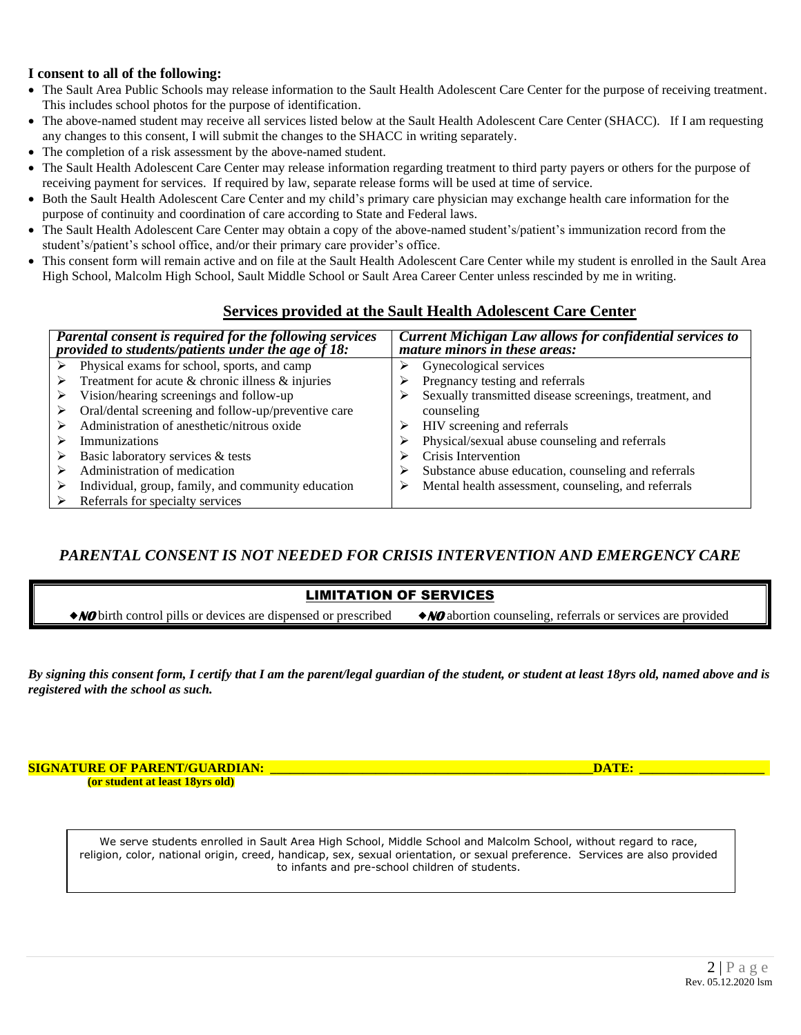## **I consent to all of the following:**

- The Sault Area Public Schools may release information to the Sault Health Adolescent Care Center for the purpose of receiving treatment. This includes school photos for the purpose of identification.
- The above-named student may receive all services listed below at the Sault Health Adolescent Care Center (SHACC). If I am requesting any changes to this consent, I will submit the changes to the SHACC in writing separately.
- The completion of a risk assessment by the above-named student.
- The Sault Health Adolescent Care Center may release information regarding treatment to third party payers or others for the purpose of receiving payment for services. If required by law, separate release forms will be used at time of service.
- Both the Sault Health Adolescent Care Center and my child's primary care physician may exchange health care information for the purpose of continuity and coordination of care according to State and Federal laws.
- The Sault Health Adolescent Care Center may obtain a copy of the above-named student's/patient's immunization record from the student's/patient's school office, and/or their primary care provider's office.
- This consent form will remain active and on file at the Sault Health Adolescent Care Center while my student is enrolled in the Sault Area High School, Malcolm High School, Sault Middle School or Sault Area Career Center unless rescinded by me in writing.

# **Services provided at the Sault Health Adolescent Care Center**

| Parental consent is required for the following services<br>provided to students/patients under the age of 18: | Current Michigan Law allows for confidential services to<br>mature minors in these areas: |
|---------------------------------------------------------------------------------------------------------------|-------------------------------------------------------------------------------------------|
| Physical exams for school, sports, and camp                                                                   | Gynecological services                                                                    |
| Treatment for acute $\&$ chronic illness $\&$ injuries                                                        | Pregnancy testing and referrals                                                           |
| Vision/hearing screenings and follow-up                                                                       | Sexually transmitted disease screenings, treatment, and                                   |
| Oral/dental screening and follow-up/preventive care                                                           | counseling                                                                                |
| Administration of anesthetic/nitrous oxide                                                                    | HIV screening and referrals                                                               |
| Immunizations                                                                                                 | Physical/sexual abuse counseling and referrals                                            |
| Basic laboratory services & tests                                                                             | Crisis Intervention                                                                       |
| Administration of medication                                                                                  | Substance abuse education, counseling and referrals                                       |
| Individual, group, family, and community education                                                            | Mental health assessment, counseling, and referrals                                       |
| Referrals for specialty services                                                                              |                                                                                           |

# *PARENTAL CONSENT IS NOT NEEDED FOR CRISIS INTERVENTION AND EMERGENCY CARE*

## LIMITATION OF SERVICES

**NO** birth control pills or devices are dispensed or prescribed **NO** abortion counseling, referrals or services are provided

*By signing this consent form, I certify that I am the parent/legal guardian of the student, or student at least 18yrs old, named above and is registered with the school as such.*

**SIGNATURE OF PARENT/GUARDIAN: \_\_\_\_\_\_\_\_\_\_\_\_\_\_\_\_\_\_\_\_\_\_\_\_\_\_\_\_\_\_\_\_\_\_\_\_\_\_\_\_\_\_\_\_\_\_\_\_\_DATE: \_\_\_\_\_\_\_\_\_\_\_\_\_\_\_\_\_\_\_ (or student at least 18yrs old)** 

We serve students enrolled in Sault Area High School, Middle School and Malcolm School, without regard to race, religion, color, national origin, creed, handicap, sex, sexual orientation, or sexual preference. Services are also provided to infants and pre-school children of students.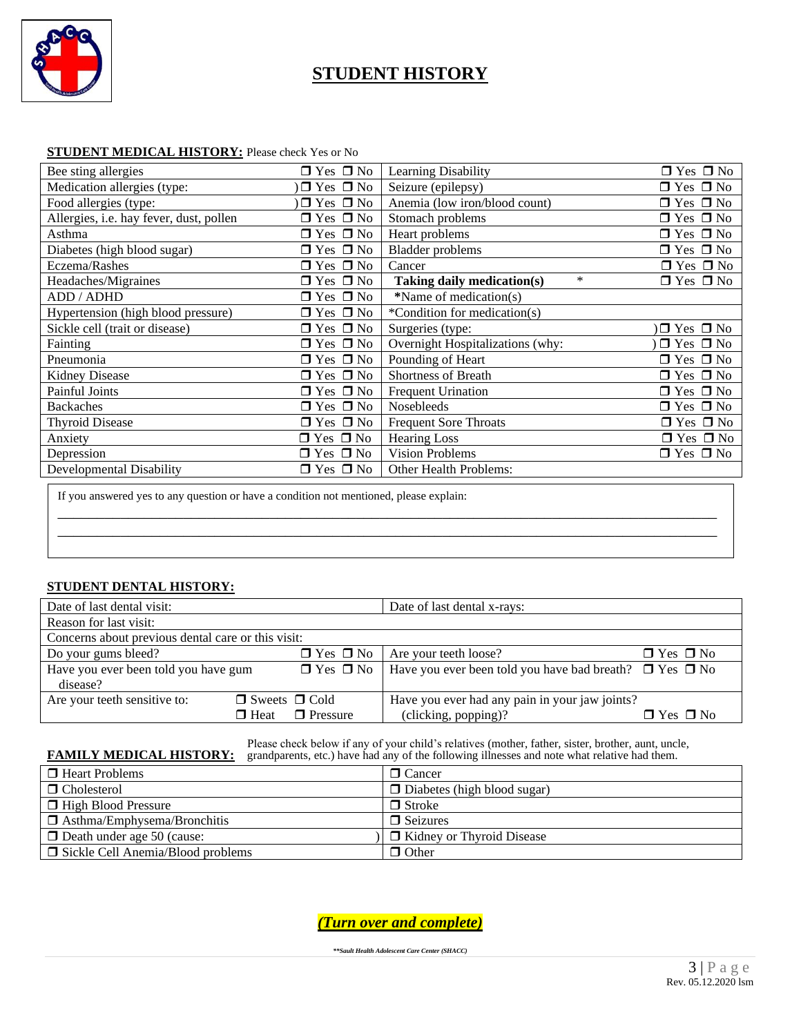

# **STUDENT HISTORY**

| Bee sting allergies                     | $\Box$ Yes $\Box$ No | Learning Disability                  | $\Box$ Yes $\Box$ No |
|-----------------------------------------|----------------------|--------------------------------------|----------------------|
| Medication allergies (type:             | $\Box$ Yes $\Box$ No | Seizure (epilepsy)                   | $\Box$ Yes $\Box$ No |
| Food allergies (type:                   | $\Box$ Yes $\Box$ No | Anemia (low iron/blood count)        | $\Box$ Yes $\Box$ No |
| Allergies, i.e. hay fever, dust, pollen | $\Box$ Yes $\Box$ No | Stomach problems                     | $\Box$ Yes $\Box$ No |
| Asthma                                  | $\Box$ Yes $\Box$ No | Heart problems                       | $\Box$ Yes $\Box$ No |
| Diabetes (high blood sugar)             | $\Box$ Yes $\Box$ No | <b>Bladder</b> problems              | $\Box$ Yes $\Box$ No |
| Eczema/Rashes                           | $\Box$ Yes $\Box$ No | Cancer                               | $\Box$ Yes $\Box$ No |
| Headaches/Migraines                     | $\Box$ Yes $\Box$ No | $\ast$<br>Taking daily medication(s) | $\Box$ Yes $\Box$ No |
| ADD / ADHD                              | $\Box$ Yes $\Box$ No | *Name of medication(s)               |                      |
| Hypertension (high blood pressure)      | $\Box$ Yes $\Box$ No | *Condition for medication(s)         |                      |
| Sickle cell (trait or disease)          | $\Box$ Yes $\Box$ No | Surgeries (type:                     | $\Box$ Yes $\Box$ No |
| Fainting                                | $\Box$ Yes $\Box$ No | Overnight Hospitalizations (why:     | $\Box$ Yes $\Box$ No |
| Pneumonia                               | $\Box$ Yes $\Box$ No | Pounding of Heart                    | $\Box$ Yes $\Box$ No |
| Kidney Disease                          | $\Box$ Yes $\Box$ No | <b>Shortness of Breath</b>           | $\Box$ Yes $\Box$ No |
| <b>Painful Joints</b>                   | $\Box$ Yes $\Box$ No | <b>Frequent Urination</b>            | $\Box$ Yes $\Box$ No |
| <b>Backaches</b>                        | $\Box$ Yes $\Box$ No | <b>Nosebleeds</b>                    | $\Box$ Yes $\Box$ No |
| <b>Thyroid Disease</b>                  | $\Box$ Yes $\Box$ No | <b>Frequent Sore Throats</b>         | $\Box$ Yes $\Box$ No |
| Anxiety                                 | $\Box$ Yes $\Box$ No | <b>Hearing Loss</b>                  | $\Box$ Yes $\Box$ No |
| Depression                              | $\Box$ Yes $\Box$ No | <b>Vision Problems</b>               | $\Box$ Yes $\Box$ No |
| Developmental Disability                | $\Box$ Yes $\Box$ No | <b>Other Health Problems:</b>        |                      |

## **STUDENT MEDICAL HISTORY:** Please check Yes or No

If you answered yes to any question or have a condition not mentioned, please explain:

## **STUDENT DENTAL HISTORY:**

| Date of last dental visit:                         |                                | Date of last dental x-rays:                                                              |                      |
|----------------------------------------------------|--------------------------------|------------------------------------------------------------------------------------------|----------------------|
| Reason for last visit:                             |                                |                                                                                          |                      |
| Concerns about previous dental care or this visit: |                                |                                                                                          |                      |
| Do your gums bleed?                                | $\Box$ Yes $\Box$ No $\Box$    | Are your teeth loose?                                                                    | $\Box$ Yes $\Box$ No |
| Have you ever been told you have gum               |                                | $\Box$ Yes $\Box$ No   Have you ever been told you have bad breath? $\Box$ Yes $\Box$ No |                      |
| disease?                                           |                                |                                                                                          |                      |
| Are your teeth sensitive to:                       | $\Box$ Sweets $\Box$ Cold      | Have you ever had any pain in your jaw joints?                                           |                      |
|                                                    | $\Box$ Pressure<br>$\Box$ Heat | (clicking, popping)?                                                                     | $\Box$ Yes $\Box$ No |

\_\_\_\_\_\_\_\_\_\_\_\_\_\_\_\_\_\_\_\_\_\_\_\_\_\_\_\_\_\_\_\_\_\_\_\_\_\_\_\_\_\_\_\_\_\_\_\_\_\_\_\_\_\_\_\_\_\_\_\_\_\_\_\_\_\_\_\_\_\_\_\_\_\_\_\_\_\_\_\_\_\_\_\_ \_\_\_\_\_\_\_\_\_\_\_\_\_\_\_\_\_\_\_\_\_\_\_\_\_\_\_\_\_\_\_\_\_\_\_\_\_\_\_\_\_\_\_\_\_\_\_\_\_\_\_\_\_\_\_\_\_\_\_\_\_\_\_\_\_\_\_\_\_\_\_\_\_\_\_\_\_\_\_\_\_\_\_\_

 Please check below if any of your child's relatives (mother, father, sister, brother, aunt, uncle, **FAMILY MEDICAL HISTORY:** grandparents, etc.) have had any of the following illnesses and note what relative had them.

| $\Box$ Heart Problems                    | $\Box$ Cancer                      |
|------------------------------------------|------------------------------------|
| □ Cholesterol                            | $\Box$ Diabetes (high blood sugar) |
| □ High Blood Pressure                    | $\Box$ Stroke                      |
| $\Box$ Asthma/Emphysema/Bronchitis       | $\Box$ Seizures                    |
| $\Box$ Death under age 50 (cause:        | $\Box$ Kidney or Thyroid Disease   |
| $\Box$ Sickle Cell Anemia/Blood problems | $\Box$ Other                       |

*(Turn over and complete)*

*\*\*Sault Health Adolescent Care Center (SHACC)*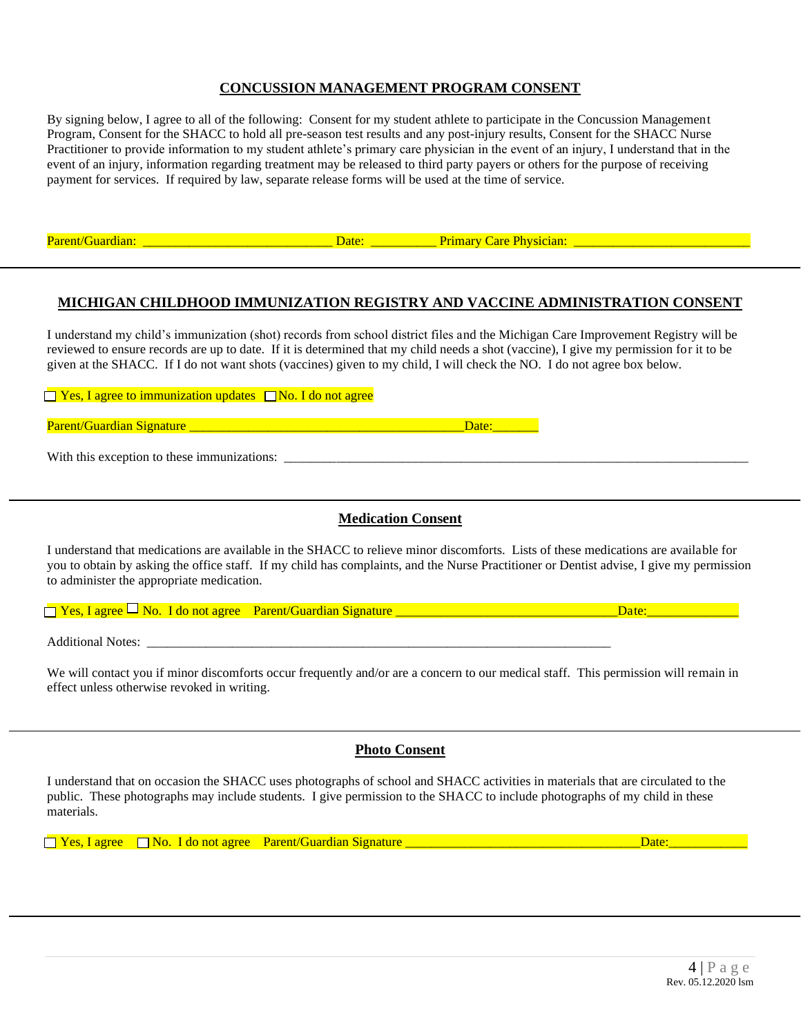## **CONCUSSION MANAGEMENT PROGRAM CONSENT**

By signing below, I agree to all of the following: Consent for my student athlete to participate in the Concussion Management Program, Consent for the SHACC to hold all pre-season test results and any post-injury results, Consent for the SHACC Nurse Practitioner to provide information to my student athlete's primary care physician in the event of an injury, I understand that in the event of an injury, information regarding treatment may be released to third party payers or others for the purpose of receiving payment for services. If required by law, separate release forms will be used at the time of service.

## **MICHIGAN CHILDHOOD IMMUNIZATION REGISTRY AND VACCINE ADMINISTRATION CONSENT**

I understand my child's immunization (shot) records from school district files and the Michigan Care Improvement Registry will be reviewed to ensure records are up to date. If it is determined that my child needs a shot (vaccine), I give my permission for it to be given at the SHACC. If I do not want shots (vaccines) given to my child, I will check the NO. I do not agree box below.

| $\Box$ Yes, I agree to immunization updates $\Box$ No. I do not agree |       |
|-----------------------------------------------------------------------|-------|
| <b>Parent/Guardian Signature</b>                                      | Date: |
| With this exception to these immunizations:                           |       |

## **Medication Consent**

I understand that medications are available in the SHACC to relieve minor discomforts. Lists of these medications are available for you to obtain by asking the office staff. If my child has complaints, and the Nurse Practitioner or Dentist advise, I give my permission to administer the appropriate medication.

 $\Box$  Yes, I agree  $\Box$  No. I do not agree Parent/Guardian Signature  $\Box$  and  $\Box$  are:

Additional Notes:

We will contact you if minor discomforts occur frequently and/or are a concern to our medical staff. This permission will remain in effect unless otherwise revoked in writing.

## **Photo Consent**

I understand that on occasion the SHACC uses photographs of school and SHACC activities in materials that are circulated to the public. These photographs may include students. I give permission to the SHACC to include photographs of my child in these materials.

 $\Box$  Yes, I agree  $\Box$  No. I do not agree Parent/Guardian Signature  $\Box$